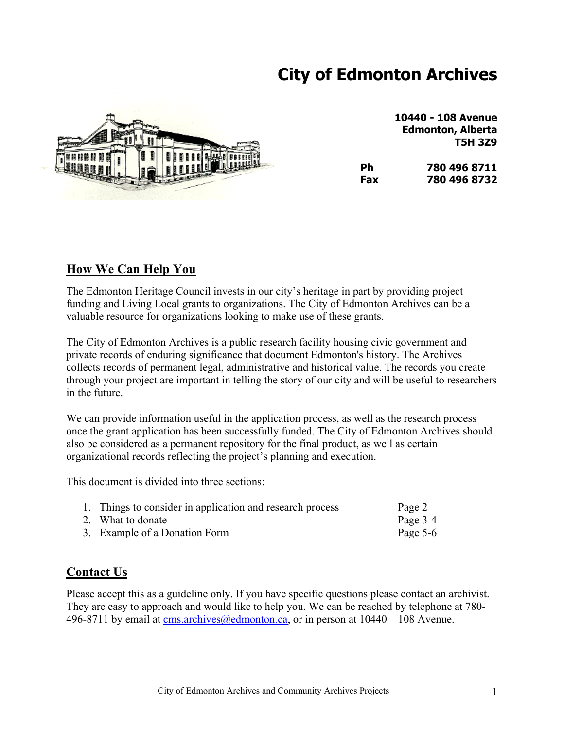# **City of Edmonton Archives**



**10440 - 108 Avenue Edmonton, Alberta T5H 3Z9**

| 1432 | Ph  | 780 496 8711 |  |
|------|-----|--------------|--|
|      | Fax | 780 496 8732 |  |

# **How We Can Help You**

The Edmonton Heritage Council invests in our city's heritage in part by providing project funding and Living Local grants to organizations. The City of Edmonton Archives can be a valuable resource for organizations looking to make use of these grants.

The City of Edmonton Archives is a public research facility housing civic government and private records of enduring significance that document Edmonton's history. The Archives collects records of permanent legal, administrative and historical value. The records you create through your project are important in telling the story of our city and will be useful to researchers in the future.

We can provide information useful in the application process, as well as the research process once the grant application has been successfully funded. The City of Edmonton Archives should also be considered as a permanent repository for the final product, as well as certain organizational records reflecting the project's planning and execution.

This document is divided into three sections:

| 1. Things to consider in application and research process | Page 2     |
|-----------------------------------------------------------|------------|
| 2. What to donate                                         | Page 3-4   |
| 3. Example of a Donation Form                             | Page $5-6$ |

## **Contact Us**

Please accept this as a guideline only. If you have specific questions please contact an archivist. They are easy to approach and would like to help you. We can be reached by telephone at 780 496-8711 by email at [cms.archives@edmonton.ca](mailto:cms.archives@edmonton.ca), or in person at 10440 – 108 Avenue.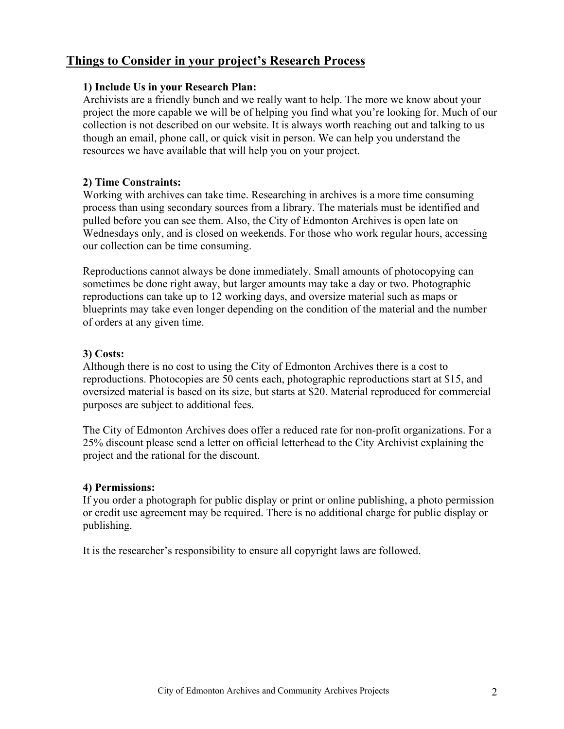## **Things to Consider in your project's Research Process**

## **1) Include Us in your Research Plan:**

Archivists are a friendly bunch and we really want to help. The more we know about your project the more capable we will be of helping you find what you're looking for. Much of our collection is not described on our website. It is always worth reaching out and talking to us though an email, phone call, or quick visit in person. We can help you understand the resources we have available that will help you on your project.

## **2) Time Constraints:**

Working with archives can take time. Researching in archives is a more time consuming process than using secondary sources from a library. The materials must be identified and pulled before you can see them. Also, the City of Edmonton Archives is open late on Wednesdays only, and is closed on weekends. For those who work regular hours, accessing our collection can be time consuming.

Reproductions cannot always be done immediately. Small amounts of photocopying can sometimes be done right away, but larger amounts may take a day or two. Photographic reproductions can take up to 12 working days, and oversize material such as maps or blueprints may take even longer depending on the condition of the material and the number of orders at any given time.

## **3) Costs:**

Although there is no cost to using the City of Edmonton Archives there is a cost to reproductions. Photocopies are 50 cents each, photographic reproductions start at \$15, and oversized material is based on its size, but starts at \$20. Material reproduced for commercial purposes are subject to additional fees.

The City of Edmonton Archives does offer a reduced rate for non-profit organizations. For a 25% discount please send a letter on official letterhead to the City Archivist explaining the project and the rational for the discount.

## **4) Permissions:**

If you order a photograph for public display or print or online publishing, a photo permission or credit use agreement may be required. There is no additional charge for public display or publishing.

It is the researcher's responsibility to ensure all copyright laws are followed.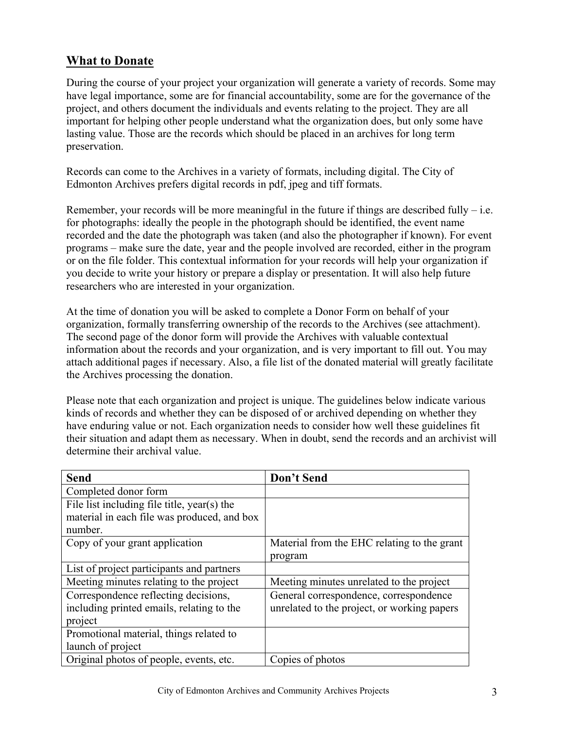# **What to Donate**

During the course of your project your organization will generate a variety of records. Some may have legal importance, some are for financial accountability, some are for the governance of the project, and others document the individuals and events relating to the project. They are all important for helping other people understand what the organization does, but only some have lasting value. Those are the records which should be placed in an archives for long term preservation.

Records can come to the Archives in a variety of formats, including digital. The City of Edmonton Archives prefers digital records in pdf, jpeg and tiff formats.

Remember, your records will be more meaningful in the future if things are described fully  $-i.e.$ for photographs: ideally the people in the photograph should be identified, the event name recorded and the date the photograph was taken (and also the photographer if known). For event programs – make sure the date, year and the people involved are recorded, either in the program or on the file folder. This contextual information for your records will help your organization if you decide to write your history or prepare a display or presentation. It will also help future researchers who are interested in your organization.

At the time of donation you will be asked to complete a Donor Form on behalf of your organization, formally transferring ownership of the records to the Archives (see attachment). The second page of the donor form will provide the Archives with valuable contextual information about the records and your organization, and is very important to fill out. You may attach additional pages if necessary. Also, a file list of the donated material will greatly facilitate the Archives processing the donation.

Please note that each organization and project is unique. The guidelines below indicate various kinds of records and whether they can be disposed of or archived depending on whether they have enduring value or not. Each organization needs to consider how well these guidelines fit their situation and adapt them as necessary. When in doubt, send the records and an archivist will determine their archival value.

| <b>Send</b>                                 | Don't Send                                  |
|---------------------------------------------|---------------------------------------------|
| Completed donor form                        |                                             |
| File list including file title, year(s) the |                                             |
| material in each file was produced, and box |                                             |
| number.                                     |                                             |
| Copy of your grant application              | Material from the EHC relating to the grant |
|                                             | program                                     |
| List of project participants and partners   |                                             |
| Meeting minutes relating to the project     | Meeting minutes unrelated to the project    |
| Correspondence reflecting decisions,        | General correspondence, correspondence      |
| including printed emails, relating to the   | unrelated to the project, or working papers |
| project                                     |                                             |
| Promotional material, things related to     |                                             |
| launch of project                           |                                             |
| Original photos of people, events, etc.     | Copies of photos                            |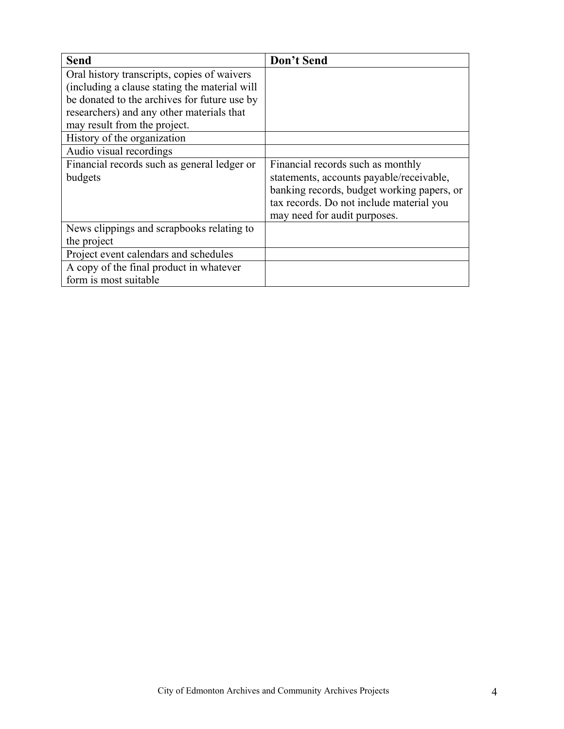| <b>Send</b>                                    | Don't Send                                 |
|------------------------------------------------|--------------------------------------------|
| Oral history transcripts, copies of waivers    |                                            |
| (including a clause stating the material will) |                                            |
| be donated to the archives for future use by   |                                            |
| researchers) and any other materials that      |                                            |
| may result from the project.                   |                                            |
| History of the organization                    |                                            |
| Audio visual recordings                        |                                            |
| Financial records such as general ledger or    | Financial records such as monthly          |
| budgets                                        | statements, accounts payable/receivable,   |
|                                                | banking records, budget working papers, or |
|                                                | tax records. Do not include material you   |
|                                                | may need for audit purposes.               |
| News clippings and scrapbooks relating to      |                                            |
| the project                                    |                                            |
| Project event calendars and schedules          |                                            |
| A copy of the final product in whatever        |                                            |
| form is most suitable                          |                                            |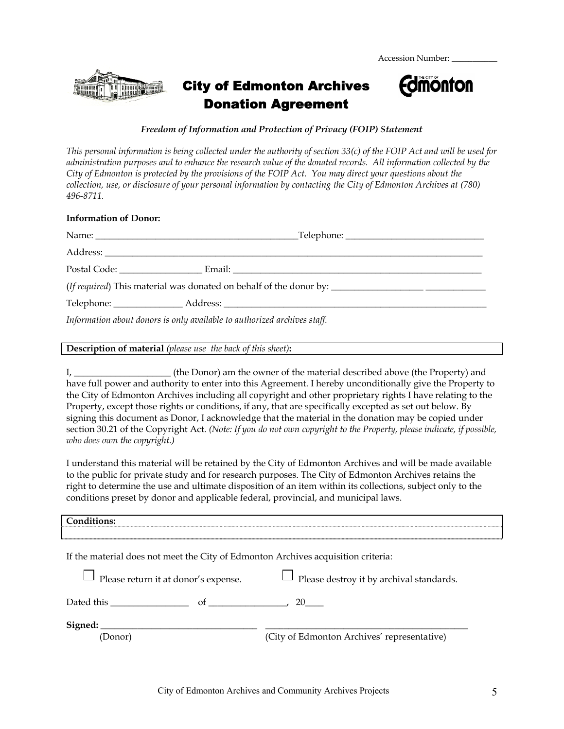Accession Number:



# City of Edmonton Archives Donation Agreement



#### *Freedom of Information and Protection of Privacy (FOIP) Statement*

*This personal information is being collected under the authority of section 33(c) of the FOIP Act and will be used for administration purposes and to enhance the research value of the donated records. All information collected by the City of Edmonton is protected by the provisions of the FOIP Act. You may direct your questions about the collection, use, or disclosure of your personal information by contacting the City of Edmonton Archives at (780) 496-8711.* 

#### **Information of Donor:**

| Information about donors is only available to authorized archives staff. |  |
|--------------------------------------------------------------------------|--|

#### **Description of material** *(please use the back of this sheet)***:**

I, \_\_\_\_\_\_\_\_\_\_\_\_\_\_\_\_\_\_\_\_\_ (the Donor) am the owner of the material described above (the Property) and have full power and authority to enter into this Agreement. I hereby unconditionally give the Property to the City of Edmonton Archives including all copyright and other proprietary rights I have relating to the Property, except those rights or conditions, if any, that are specifically excepted as set out below. By signing this document as Donor, I acknowledge that the material in the donation may be copied under section 30.21 of the Copyright Act. *(Note: If you do not own copyright to the Property, please indicate, if possible, who does own the copyright.)*

I understand this material will be retained by the City of Edmonton Archives and will be made available to the public for private study and for research purposes. The City of Edmonton Archives retains the right to determine the use and ultimate disposition of an item within its collections, subject only to the conditions preset by donor and applicable federal, provincial, and municipal laws.

| Conditions:                                                                       |                                                 |
|-----------------------------------------------------------------------------------|-------------------------------------------------|
| If the material does not meet the City of Edmonton Archives acquisition criteria: |                                                 |
| $\Box$ Please return it at donor's expense.                                       | $\Box$ Please destroy it by archival standards. |

| Dated this | ∠⊾ |  |
|------------|----|--|
| Signed:    |    |  |

(Donor) (City of Edmonton Archives' representative)